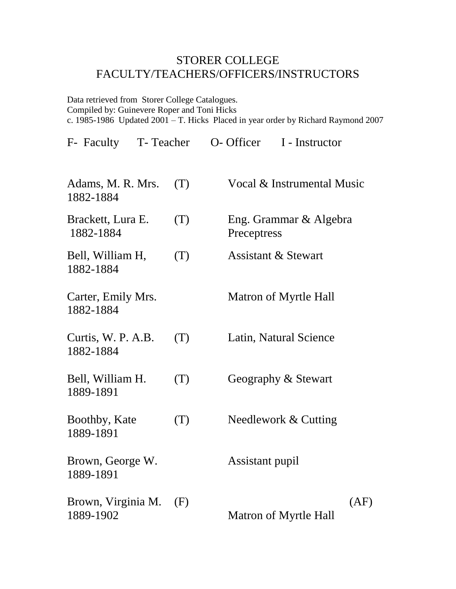## STORER COLLEGE FACULTY/TEACHERS/OFFICERS/INSTRUCTORS

Data retrieved from Storer College Catalogues. Compiled by: Guinevere Roper and Toni Hicks c. 1985-1986 Updated 2001 – T. Hicks Placed in year order by Richard Raymond 2007

| F- Faculty<br>T-Teacher         |     | O- Officer<br>I - Instructor          |
|---------------------------------|-----|---------------------------------------|
| Adams, M. R. Mrs.<br>1882-1884  | (T) | Vocal & Instrumental Music            |
| Brackett, Lura E.<br>1882-1884  | (T) | Eng. Grammar & Algebra<br>Preceptress |
| Bell, William H,<br>1882-1884   | (T) | <b>Assistant &amp; Stewart</b>        |
| Carter, Emily Mrs.<br>1882-1884 |     | Matron of Myrtle Hall                 |
| Curtis, W. P. A.B.<br>1882-1884 | (T) | Latin, Natural Science                |
| Bell, William H.<br>1889-1891   | (T) | Geography & Stewart                   |
| Boothby, Kate<br>1889-1891      | (T) | Needlework & Cutting                  |
| Brown, George W.<br>1889-1891   |     | Assistant pupil                       |
| Brown, Virginia M.<br>1889-1902 | (F) | (AF)<br><b>Matron of Myrtle Hall</b>  |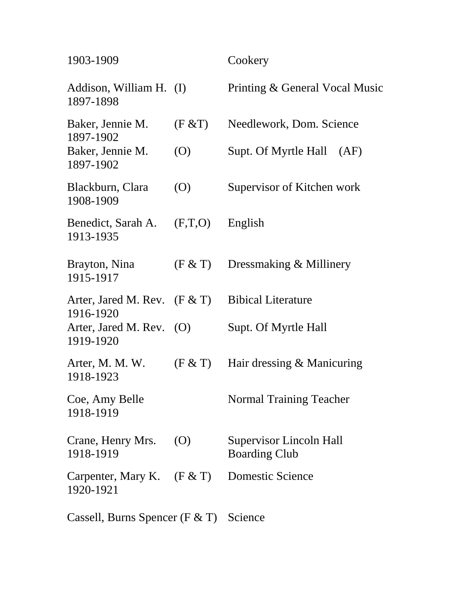| 1903-1909                                   |                   | Cookery                                         |
|---------------------------------------------|-------------------|-------------------------------------------------|
| Addison, William H. (I)<br>1897-1898        |                   | Printing & General Vocal Music                  |
| Baker, Jennie M.<br>1897-1902               | (F & T)           | Needlework, Dom. Science                        |
| Baker, Jennie M.<br>1897-1902               | (O)               | Supt. Of Myrtle Hall<br>(AF)                    |
| Blackburn, Clara<br>1908-1909               | (O)               | Supervisor of Kitchen work                      |
| Benedict, Sarah A.<br>1913-1935             | (F,T,O)           | English                                         |
| Brayton, Nina<br>1915-1917                  | (F & T)           | Dressmaking & Millinery                         |
| Arter, Jared M. Rev. $(F & T)$<br>1916-1920 |                   | <b>Bibical Literature</b>                       |
| Arter, Jared M. Rev. $(O)$<br>1919-1920     |                   | Supt. Of Myrtle Hall                            |
| Arter, M. M. W.<br>1918-1923                | (F & T)           | Hair dressing & Manicuring                      |
| Coe, Amy Belle<br>1918-1919                 |                   | <b>Normal Training Teacher</b>                  |
| Crane, Henry Mrs.<br>1918-1919              | $\left( 0\right)$ | Supervisor Lincoln Hall<br><b>Boarding Club</b> |
| Carpenter, Mary K.<br>1920-1921             | (F & T)           | Domestic Science                                |
| Cassell, Burns Spencer ( $F & T$ )          |                   | Science                                         |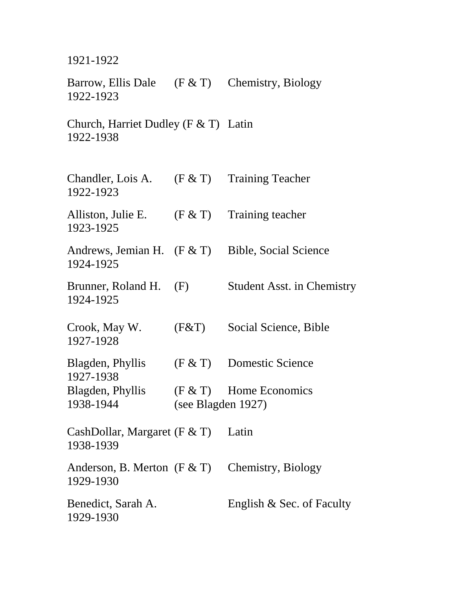1921-1922

Barrow, Ellis Dale (F & T) Chemistry, Biology 1922-1923

Church, Harriet Dudley (F & T) Latin 1922-1938

| Chandler, Lois A.<br>1922-1923              |                    | $(F & T)$ Training Teacher        |
|---------------------------------------------|--------------------|-----------------------------------|
| Alliston, Julie E.<br>1923-1925             | (F & T)            | Training teacher                  |
| Andrews, Jemian H. $(F & T)$<br>1924-1925   |                    | <b>Bible, Social Science</b>      |
| Brunner, Roland H.<br>1924-1925             | (F)                | <b>Student Asst. in Chemistry</b> |
| Crook, May W.<br>1927-1928                  | (F&T)              | Social Science, Bible             |
| Blagden, Phyllis<br>1927-1938               | (F & T)            | Domestic Science                  |
| Blagden, Phyllis<br>1938-1944               | (see Blagden 1927) | $(F & T)$ Home Economics          |
| CashDollar, Margaret (F $&$ T)<br>1938-1939 |                    | Latin                             |
| Anderson, B. Merton $(F & T)$<br>1929-1930  |                    | Chemistry, Biology                |
| Benedict, Sarah A.<br>1929-1930             |                    | English & Sec. of Faculty         |
|                                             |                    |                                   |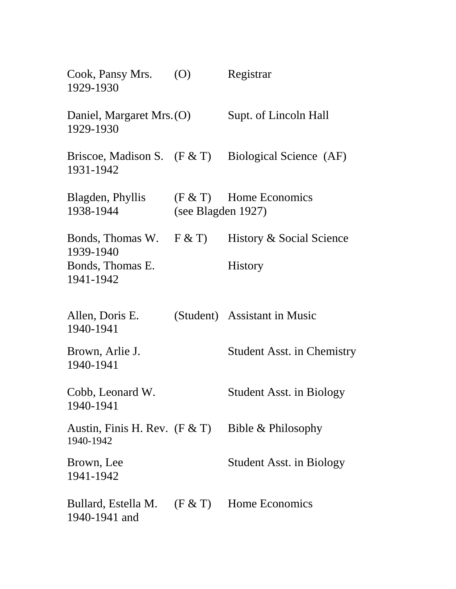| Cook, Pansy Mrs.<br>1929-1930                | (O)                | Registrar                                             |
|----------------------------------------------|--------------------|-------------------------------------------------------|
| Daniel, Margaret Mrs. (O)<br>1929-1930       |                    | Supt. of Lincoln Hall                                 |
| 1931-1942                                    |                    | Briscoe, Madison S. $(F & T)$ Biological Science (AF) |
| Blagden, Phyllis<br>1938-1944                | (see Blagden 1927) | $(F & T)$ Home Economics                              |
| Bonds, Thomas W. $F & T$<br>1939-1940        |                    | History & Social Science                              |
| Bonds, Thomas E.<br>1941-1942                |                    | <b>History</b>                                        |
| Allen, Doris E.<br>1940-1941                 |                    | (Student) Assistant in Music                          |
| Brown, Arlie J.<br>1940-1941                 |                    | <b>Student Asst. in Chemistry</b>                     |
| Cobb, Leonard W.<br>1940-1941                |                    | <b>Student Asst. in Biology</b>                       |
| Austin, Finis H. Rev. $(F & T)$<br>1940-1942 |                    | Bible & Philosophy                                    |
| Brown, Lee<br>1941-1942                      |                    | <b>Student Asst. in Biology</b>                       |
| Bullard, Estella M.<br>1940-1941 and         |                    | $(F & T)$ Home Economics                              |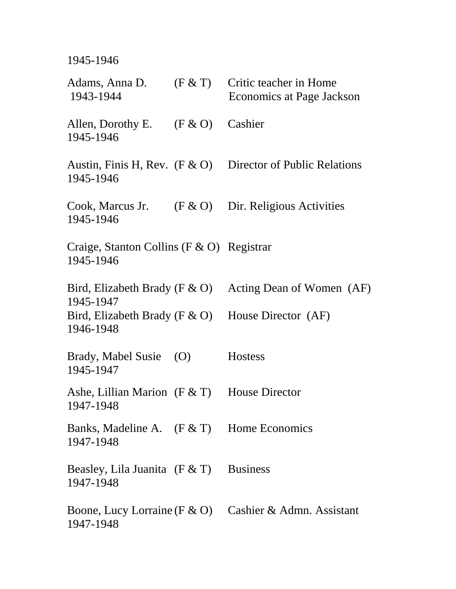1945-1946

| Adams, Anna D.<br>1943-1944                                       | (F & T) | Critic teacher in Home<br>Economics at Page Jackson          |
|-------------------------------------------------------------------|---------|--------------------------------------------------------------|
| Allen, Dorothy E.<br>1945-1946                                    | (F & O) | Cashier                                                      |
| 1945-1946                                                         |         | Austin, Finis H, Rev. $(F & O)$ Director of Public Relations |
| Cook, Marcus Jr.<br>1945-1946                                     |         | $(F & O)$ Dir. Religious Activities                          |
| Craige, Stanton Collins ( $F & O$ ) Registrar<br>1945-1946        |         |                                                              |
| Bird, Elizabeth Brady ( $F \& O$ )<br>1945-1947                   |         | Acting Dean of Women (AF)                                    |
| Bird, Elizabeth Brady (F $\&$ O) House Director (AF)<br>1946-1948 |         |                                                              |
| Brady, Mabel Susie<br>1945-1947                                   | (O)     | <b>Hostess</b>                                               |
| Ashe, Lillian Marion $(F & T)$<br>1947-1948                       |         | <b>House Director</b>                                        |
| Banks, Madeline A. (F & T) Home Economics<br>1947-1948            |         |                                                              |
| Beasley, Lila Juanita $(F & T)$<br>1947-1948                      |         | <b>Business</b>                                              |
| 1947-1948                                                         |         | Boone, Lucy Lorraine (F & O) Cashier & Admn. Assistant       |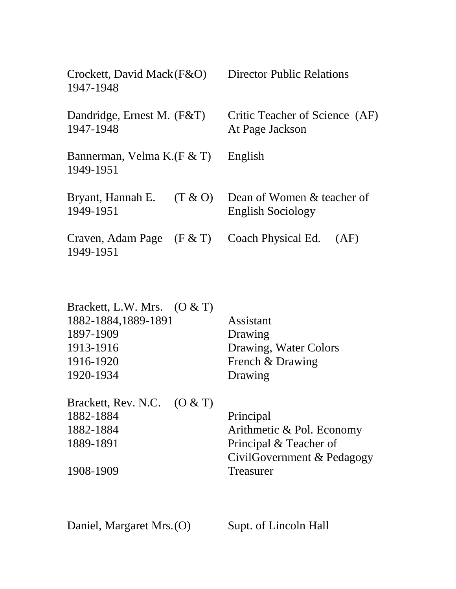| Crockett, David Mack (F&O)<br>1947-1948  |         | <b>Director Public Relations</b>                       |  |
|------------------------------------------|---------|--------------------------------------------------------|--|
| Dandridge, Ernest M. (F&T)<br>1947-1948  |         | Critic Teacher of Science (AF)<br>At Page Jackson      |  |
| Bannerman, Velma K. (F & T)<br>1949-1951 |         | English                                                |  |
| Bryant, Hannah E.<br>1949-1951           | (T & O) | Dean of Women & teacher of<br><b>English Sociology</b> |  |
| Craven, Adam Page $(F & T)$<br>1949-1951 |         | Coach Physical Ed. (AF)                                |  |

| Brackett, L.W. Mrs. $(0 & T)$ |                       |
|-------------------------------|-----------------------|
| 1882-1884, 1889-1891          | Assistant             |
| 1897-1909                     | Drawing               |
| 1913-1916                     | Drawing, Water Colors |
| 1916-1920                     | French & Drawing      |
| 1920-1934                     | Drawing               |
|                               |                       |

| Brackett, Rev. N.C. $(0 & T)$ |                            |
|-------------------------------|----------------------------|
| 1882-1884                     | Principal                  |
| 1882-1884                     | Arithmetic & Pol. Economy  |
| 1889-1891                     | Principal & Teacher of     |
|                               | CivilGovernment & Pedagogy |
| 1908-1909                     | <b>Treasurer</b>           |

Daniel, Margaret Mrs.(O) Supt. of Lincoln Hall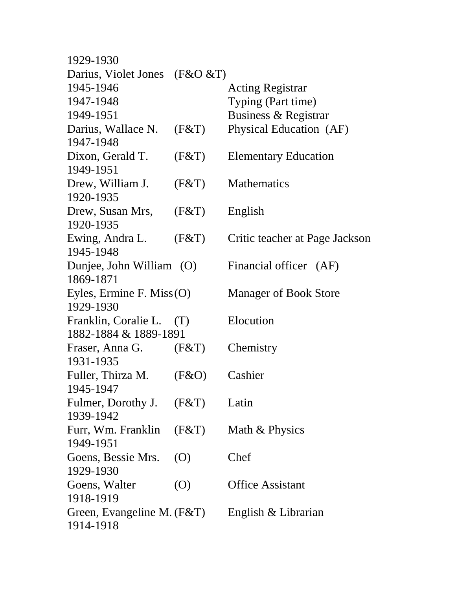| 1929-1930                        |                   |                                |
|----------------------------------|-------------------|--------------------------------|
| Darius, Violet Jones ( $F&O&T$ ) |                   |                                |
| 1945-1946                        |                   | <b>Acting Registrar</b>        |
| 1947-1948                        |                   | Typing (Part time)             |
| 1949-1951                        |                   | Business & Registrar           |
| Darius, Wallace N.               | (F&T)             | Physical Education (AF)        |
| 1947-1948                        |                   |                                |
| Dixon, Gerald T.                 | (F&T)             | <b>Elementary Education</b>    |
| 1949-1951                        |                   |                                |
| Drew, William J.                 | (F&T)             | <b>Mathematics</b>             |
| 1920-1935                        |                   |                                |
| Drew, Susan Mrs,                 | (F&T)             | English                        |
| 1920-1935                        |                   |                                |
| Ewing, Andra L.                  | (F&T)             | Critic teacher at Page Jackson |
| 1945-1948                        |                   |                                |
| Dunjee, John William (O)         |                   | Financial officer (AF)         |
| 1869-1871                        |                   |                                |
| Eyles, Ermine F. Miss $(O)$      |                   | <b>Manager of Book Store</b>   |
| 1929-1930                        |                   |                                |
| Franklin, Coralie L. (T)         |                   | Elocution                      |
| 1882-1884 & 1889-1891            |                   |                                |
| Fraser, Anna G. (F&T)            |                   | Chemistry                      |
| 1931-1935                        |                   |                                |
| Fuller, Thirza M.                | (F&O)             | Cashier                        |
| 1945-1947                        |                   |                                |
| Fulmer, Dorothy J. $(F&T)$       |                   | Latin                          |
| 1939-1942                        |                   |                                |
| Furr, Wm. Franklin (F&T)         |                   | Math & Physics                 |
| 1949-1951                        |                   |                                |
| Goens, Bessie Mrs.               | $\left( 0\right)$ | Chef                           |
| 1929-1930                        |                   |                                |
| Goens, Walter                    | $\left( 0\right)$ | <b>Office Assistant</b>        |
| 1918-1919                        |                   |                                |
| Green, Evangeline M. (F&T)       |                   | English & Librarian            |
| 1914-1918                        |                   |                                |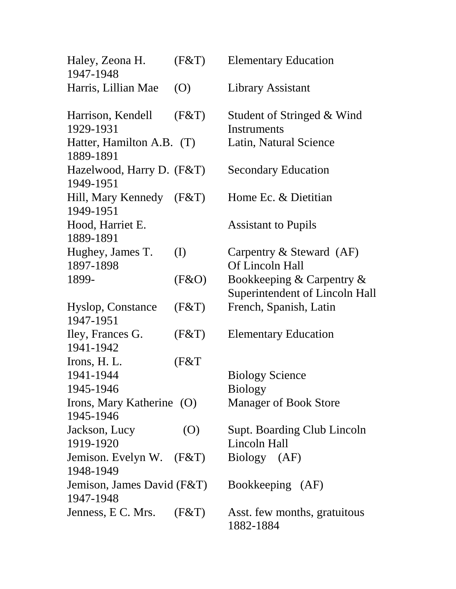| Haley, Zeona H.<br>1947-1948            | (F&T)      | <b>Elementary Education</b>                                 |
|-----------------------------------------|------------|-------------------------------------------------------------|
| Harris, Lillian Mae                     | (0)        | Library Assistant                                           |
| Harrison, Kendell<br>1929-1931          | (F&T)      | Student of Stringed & Wind<br>Instruments                   |
| Hatter, Hamilton A.B. (T)<br>1889-1891  |            | Latin, Natural Science                                      |
| Hazelwood, Harry D. (F&T)<br>1949-1951  |            | <b>Secondary Education</b>                                  |
| Hill, Mary Kennedy<br>1949-1951         | (F&T)      | Home Ec. & Dietitian                                        |
| Hood, Harriet E.<br>1889-1891           |            | <b>Assistant to Pupils</b>                                  |
| Hughey, James T.<br>1897-1898           | (I)        | Carpentry $&$ Steward (AF)<br>Of Lincoln Hall               |
| 1899-                                   | (F & O)    | Bookkeeping & Carpentry &<br>Superintendent of Lincoln Hall |
| Hyslop, Constance<br>1947-1951          | (F&T)      | French, Spanish, Latin                                      |
| Iley, Frances G.<br>1941-1942           | (F&T)      | <b>Elementary Education</b>                                 |
| Irons, H. L.<br>1941-1944<br>1945-1946  | (F&T       | <b>Biology Science</b><br><b>Biology</b>                    |
| Irons, Mary Katherine (O)<br>1945-1946  |            | <b>Manager of Book Store</b>                                |
| Jackson, Lucy<br>1919-1920              | $\left($ O | <b>Supt. Boarding Club Lincoln</b><br>Lincoln Hall          |
| Jemison. Evelyn W. (F&T)<br>1948-1949   |            | Biology (AF)                                                |
| Jemison, James David (F&T)<br>1947-1948 |            | Bookkeeping (AF)                                            |
| Jenness, E C. Mrs. $(F&T)$              |            | Asst. few months, gratuitous<br>1882-1884                   |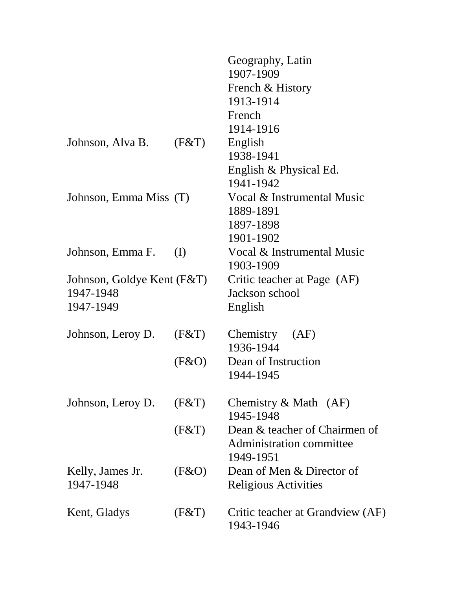|         | Geography, Latin<br>1907-1909                                                                                                   |
|---------|---------------------------------------------------------------------------------------------------------------------------------|
|         | French & History                                                                                                                |
|         | 1913-1914                                                                                                                       |
|         | French                                                                                                                          |
|         | 1914-1916                                                                                                                       |
|         |                                                                                                                                 |
|         | English                                                                                                                         |
|         | 1938-1941                                                                                                                       |
|         | English & Physical Ed.                                                                                                          |
|         | 1941-1942                                                                                                                       |
|         | Vocal & Instrumental Music                                                                                                      |
|         | 1889-1891                                                                                                                       |
|         | 1897-1898                                                                                                                       |
|         | 1901-1902                                                                                                                       |
|         | Vocal & Instrumental Music                                                                                                      |
|         | 1903-1909                                                                                                                       |
|         | Critic teacher at Page (AF)                                                                                                     |
|         | Jackson school                                                                                                                  |
|         | English                                                                                                                         |
| (F&T)   | Chemistry (AF)                                                                                                                  |
|         | 1936-1944                                                                                                                       |
| (F & O) | Dean of Instruction                                                                                                             |
|         | 1944-1945                                                                                                                       |
|         | Chemistry $& \text{Math} \quad (AF)$                                                                                            |
|         | 1945-1948                                                                                                                       |
|         | Dean & teacher of Chairmen of                                                                                                   |
|         | Administration committee                                                                                                        |
|         | 1949-1951                                                                                                                       |
|         | Dean of Men & Director of                                                                                                       |
|         | <b>Religious Activities</b>                                                                                                     |
|         |                                                                                                                                 |
|         | Critic teacher at Grandview (AF)                                                                                                |
|         | 1943-1946                                                                                                                       |
|         | (F&T)<br>Johnson, Emma Miss (T)<br>(I)<br>Johnson, Goldye Kent (F&T)<br>Johnson, Leroy D.<br>(F&T)<br>(F&T)<br>(F & O)<br>(F&T) |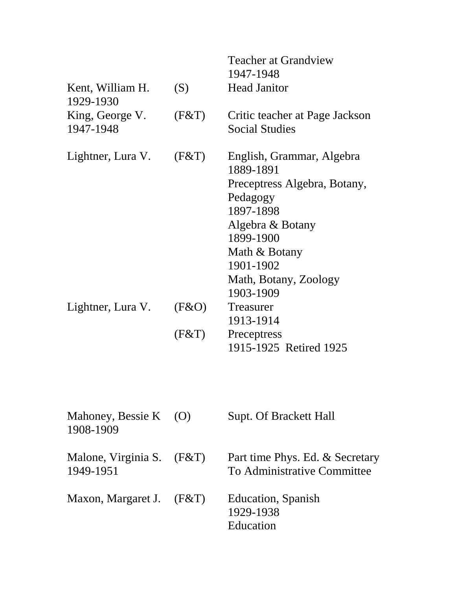|                                          |       | <b>Teacher at Grandview</b><br>1947-1948                                                                                                                                                             |
|------------------------------------------|-------|------------------------------------------------------------------------------------------------------------------------------------------------------------------------------------------------------|
| Kent, William H.<br>1929-1930            | (S)   | <b>Head Janitor</b>                                                                                                                                                                                  |
| King, George V.<br>1947-1948             | (F&T) | Critic teacher at Page Jackson<br><b>Social Studies</b>                                                                                                                                              |
| Lightner, Lura V.                        | (F&T) | English, Grammar, Algebra<br>1889-1891<br>Preceptress Algebra, Botany,<br>Pedagogy<br>1897-1898<br>Algebra & Botany<br>1899-1900<br>Math & Botany<br>1901-1902<br>Math, Botany, Zoology<br>1903-1909 |
| Lightner, Lura V.                        | (F&O) | Treasurer<br>1913-1914                                                                                                                                                                               |
|                                          | (F&T) | Preceptress<br>1915-1925 Retired 1925                                                                                                                                                                |
| Mahoney, Bessie K (O)<br>1908-1909       |       | <b>Supt. Of Brackett Hall</b>                                                                                                                                                                        |
| Malone, Virginia S. $(F&T)$<br>1949-1951 |       | Part time Phys. Ed. & Secretary<br>To Administrative Committee                                                                                                                                       |
| Maxon, Margaret J.                       | (F&T) | Education, Spanish<br>1929-1938<br>Education                                                                                                                                                         |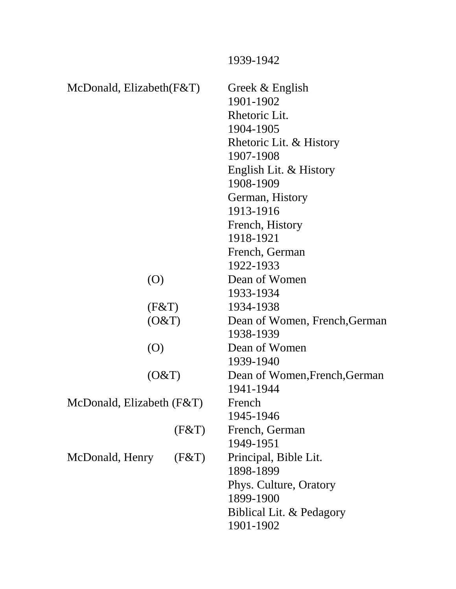|                             |       | 1939-1942                     |
|-----------------------------|-------|-------------------------------|
| McDonald, Elizabeth $(F&T)$ |       | Greek & English               |
|                             |       | 1901-1902                     |
|                             |       | Rhetoric Lit.                 |
|                             |       | 1904-1905                     |
|                             |       | Rhetoric Lit. & History       |
|                             |       | 1907-1908                     |
|                             |       | English Lit. & History        |
|                             |       | 1908-1909                     |
|                             |       | German, History               |
|                             |       | 1913-1916                     |
|                             |       | French, History               |
|                             |       | 1918-1921                     |
|                             |       | French, German                |
|                             |       | 1922-1933                     |
| $\left( 0\right)$           |       | Dean of Women                 |
|                             |       | 1933-1934                     |
| (F&T)                       |       | 1934-1938                     |
| (O&T)                       |       | Dean of Women, French, German |
| $\left( 0\right)$           |       | 1938-1939                     |
|                             |       | Dean of Women                 |
|                             |       | 1939-1940                     |
| (O&T)                       |       | Dean of Women, French, German |
|                             |       | 1941-1944                     |
| McDonald, Elizabeth $(F&T)$ |       | French                        |
|                             |       | 1945-1946                     |
|                             | (F&T) | French, German                |
|                             |       | 1949-1951                     |
| McDonald, Henry             | (F&T) | Principal, Bible Lit.         |
|                             |       | 1898-1899                     |
|                             |       | Phys. Culture, Oratory        |
|                             |       | 1899-1900                     |
|                             |       | Biblical Lit. & Pedagory      |
|                             |       | 1901-1902                     |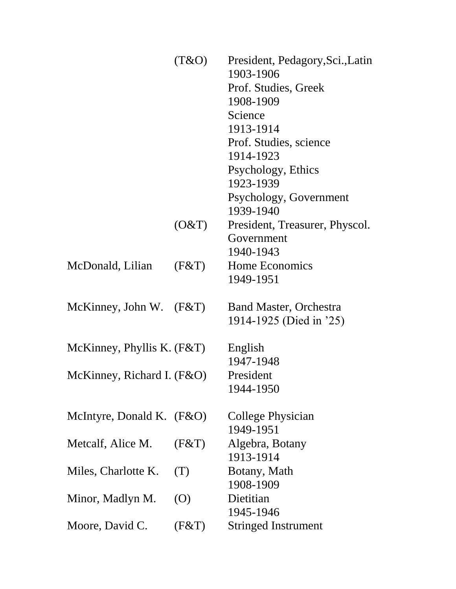|                              | (T&O) | President, Pedagory, Sci., Latin<br>1903-1906 |
|------------------------------|-------|-----------------------------------------------|
|                              |       | Prof. Studies, Greek                          |
|                              |       | 1908-1909                                     |
|                              |       | Science                                       |
|                              |       | 1913-1914                                     |
|                              |       |                                               |
|                              |       | Prof. Studies, science                        |
|                              |       | 1914-1923                                     |
|                              |       | Psychology, Ethics                            |
|                              |       | 1923-1939                                     |
|                              |       | Psychology, Government                        |
|                              |       | 1939-1940                                     |
|                              | (O&T) | President, Treasurer, Physcol.                |
|                              |       | Government                                    |
|                              |       | 1940-1943                                     |
| McDonald, Lilian             | (F&T) | Home Economics                                |
|                              |       | 1949-1951                                     |
| McKinney, John W. $(F&T)$    |       | <b>Band Master, Orchestra</b>                 |
|                              |       | 1914-1925 (Died in '25)                       |
|                              |       |                                               |
| McKinney, Phyllis K. $(F&T)$ |       | English                                       |
|                              |       | 1947-1948                                     |
| McKinney, Richard I. (F&O)   |       | President                                     |
|                              |       | 1944-1950                                     |
|                              |       |                                               |
| McIntyre, Donald K. $(F&O)$  |       | College Physician                             |
|                              |       | 1949-1951                                     |
| Metcalf, Alice M.            | (F&T) | Algebra, Botany                               |
|                              |       | 1913-1914                                     |
| Miles, Charlotte K.          | (T)   | Botany, Math                                  |
|                              |       | 1908-1909                                     |
| Minor, Madlyn M.             | (O)   | Dietitian                                     |
|                              |       | 1945-1946                                     |
| Moore, David C.              | (F&T) | <b>Stringed Instrument</b>                    |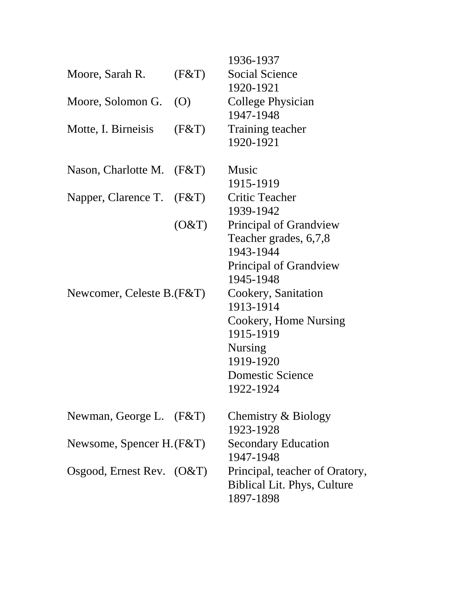|                             |                   | 1936-1937                          |
|-----------------------------|-------------------|------------------------------------|
| Moore, Sarah R.             | (F&T)             | <b>Social Science</b>              |
|                             |                   | 1920-1921                          |
| Moore, Solomon G.           | $\left( 0\right)$ | <b>College Physician</b>           |
|                             |                   | 1947-1948                          |
| Motte, I. Birneisis         | (F&T)             | Training teacher                   |
|                             |                   | 1920-1921                          |
| Nason, Charlotte M. $(F&T)$ |                   | Music                              |
|                             |                   | 1915-1919                          |
| Napper, Clarence T. (F&T)   |                   | <b>Critic Teacher</b>              |
|                             |                   | 1939-1942                          |
|                             | (O&T)             | Principal of Grandview             |
|                             |                   | Teacher grades, 6,7,8              |
|                             |                   | 1943-1944                          |
|                             |                   | Principal of Grandview             |
|                             |                   | 1945-1948                          |
| Newcomer, Celeste B.(F&T)   |                   | Cookery, Sanitation                |
|                             |                   | 1913-1914                          |
|                             |                   | Cookery, Home Nursing              |
|                             |                   | 1915-1919                          |
|                             |                   | <b>Nursing</b>                     |
|                             |                   | 1919-1920                          |
|                             |                   | Domestic Science                   |
|                             |                   | 1922-1924                          |
| Newman, George L. (F&T)     |                   | Chemistry & Biology                |
|                             |                   | 1923-1928                          |
| Newsome, Spencer H. (F&T)   |                   | <b>Secondary Education</b>         |
|                             |                   | 1947-1948                          |
| Osgood, Ernest Rev. $(O&T)$ |                   | Principal, teacher of Oratory,     |
|                             |                   | <b>Biblical Lit. Phys, Culture</b> |
|                             |                   | 1897-1898                          |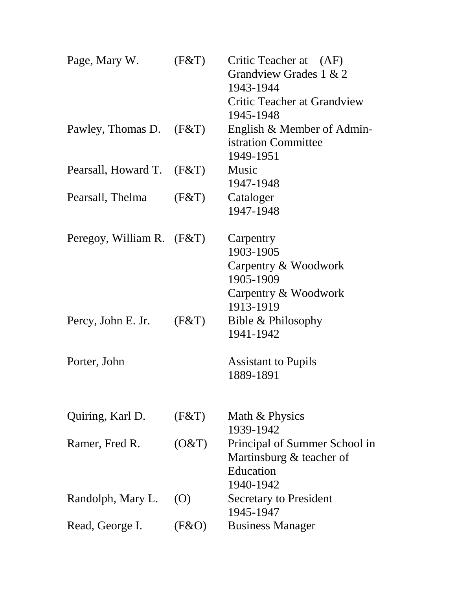| Page, Mary W.               | (F&T)             | Critic Teacher at (AF)<br>Grandview Grades 1 & 2<br>1943-1944<br>Critic Teacher at Grandview |
|-----------------------------|-------------------|----------------------------------------------------------------------------------------------|
|                             |                   | 1945-1948                                                                                    |
| Pawley, Thomas D.           | (F&T)             | English & Member of Admin-<br>istration Committee<br>1949-1951                               |
| Pearsall, Howard T.         | (F&T)             | Music                                                                                        |
|                             |                   | 1947-1948                                                                                    |
| Pearsall, Thelma            | (F&T)             | Cataloger<br>1947-1948                                                                       |
|                             |                   |                                                                                              |
| Peregoy, William R. $(F&T)$ |                   | Carpentry                                                                                    |
|                             |                   | 1903-1905                                                                                    |
|                             |                   | Carpentry & Woodwork                                                                         |
|                             |                   | 1905-1909                                                                                    |
|                             |                   | Carpentry & Woodwork                                                                         |
|                             |                   | 1913-1919                                                                                    |
| Percy, John E. Jr.          | (F&T)             | Bible & Philosophy                                                                           |
|                             |                   | 1941-1942                                                                                    |
| Porter, John                |                   | <b>Assistant to Pupils</b>                                                                   |
|                             |                   | 1889-1891                                                                                    |
|                             |                   |                                                                                              |
| Quiring, Karl D.            | (F&T)             | Math & Physics                                                                               |
|                             |                   | 1939-1942                                                                                    |
| Ramer, Fred R.              | (O&T)             | Principal of Summer School in                                                                |
|                             |                   | Martinsburg & teacher of                                                                     |
|                             |                   | Education                                                                                    |
|                             |                   | 1940-1942                                                                                    |
| Randolph, Mary L.           | $\left( 0\right)$ | <b>Secretary to President</b>                                                                |
|                             |                   | 1945-1947                                                                                    |
| Read, George I.             | (F & O)           | <b>Business Manager</b>                                                                      |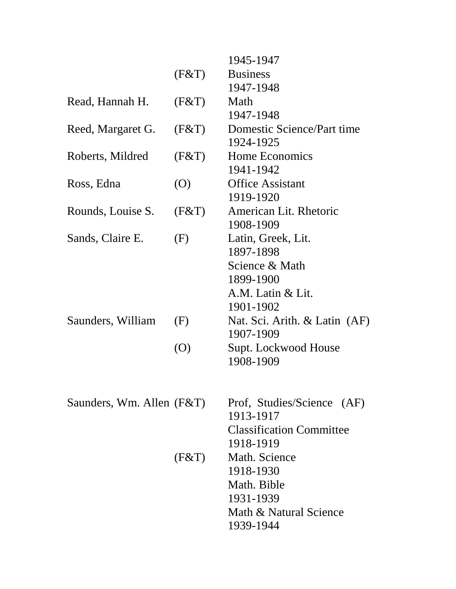|                           |                   | 1945-1947                               |
|---------------------------|-------------------|-----------------------------------------|
|                           | (F&T)             | <b>Business</b>                         |
|                           |                   | 1947-1948                               |
| Read, Hannah H.           | (F&T)             | Math                                    |
|                           |                   | 1947-1948                               |
| Reed, Margaret G.         | (F&T)             | Domestic Science/Part time              |
|                           |                   | 1924-1925                               |
| Roberts, Mildred          | (F&T)             | Home Economics<br>1941-1942             |
| Ross, Edna                | $\left($ O        | <b>Office Assistant</b>                 |
|                           |                   | 1919-1920                               |
| Rounds, Louise S.         | (F&T)             | American Lit. Rhetoric<br>1908-1909     |
| Sands, Claire E.          | (F)               | Latin, Greek, Lit.<br>1897-1898         |
|                           |                   | Science & Math                          |
|                           |                   | 1899-1900                               |
|                           |                   | A.M. Latin & Lit.                       |
|                           |                   | 1901-1902                               |
| Saunders, William         | (F)               | Nat. Sci. Arith. & Latin (AF)           |
|                           |                   | 1907-1909                               |
|                           | $\left( 0\right)$ | Supt. Lockwood House<br>1908-1909       |
|                           |                   |                                         |
| Saunders, Wm. Allen (F&T) |                   | Prof, Studies/Science (AF)<br>1913-1917 |
|                           |                   | <b>Classification Committee</b>         |
|                           |                   | 1918-1919                               |
|                           | (F&T)             | Math. Science                           |
|                           |                   | 1918-1930                               |
|                           |                   | Math. Bible                             |
|                           |                   | 1931-1939                               |
|                           |                   | Math & Natural Science                  |
|                           |                   | 1939-1944                               |
|                           |                   |                                         |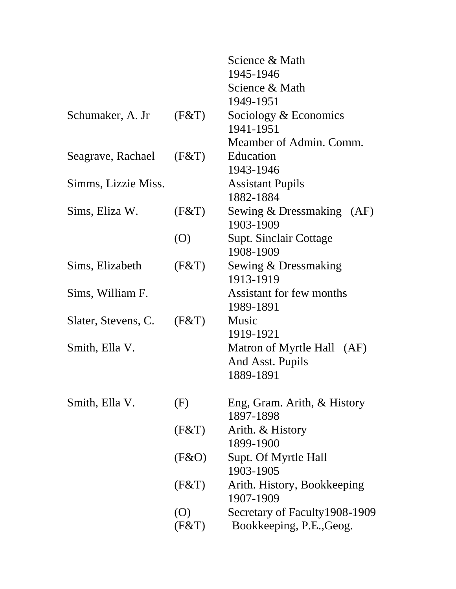|                     |                   | Science & Math                 |
|---------------------|-------------------|--------------------------------|
|                     |                   | 1945-1946                      |
|                     |                   | Science & Math                 |
|                     |                   | 1949-1951                      |
| Schumaker, A. Jr    | (F&T)             | Sociology & Economics          |
|                     |                   | 1941-1951                      |
|                     |                   | Meamber of Admin. Comm.        |
| Seagrave, Rachael   | (F&T)             | Education                      |
|                     |                   | 1943-1946                      |
| Simms, Lizzie Miss. |                   | <b>Assistant Pupils</b>        |
|                     |                   | 1882-1884                      |
| Sims, Eliza W.      | (F&T)             | Sewing & Dressmaking (AF)      |
|                     |                   | 1903-1909                      |
|                     | (0)               | <b>Supt. Sinclair Cottage</b>  |
|                     |                   | 1908-1909                      |
| Sims, Elizabeth     | (F&T)             | Sewing & Dressmaking           |
|                     |                   | 1913-1919                      |
| Sims, William F.    |                   | Assistant for few months       |
|                     |                   | 1989-1891                      |
| Slater, Stevens, C. | (F&T)             | Music                          |
|                     |                   | 1919-1921                      |
| Smith, Ella V.      |                   | Matron of Myrtle Hall (AF)     |
|                     |                   | And Asst. Pupils               |
|                     |                   | 1889-1891                      |
|                     |                   |                                |
| Smith, Ella V.      | (F)               | Eng, Gram. Arith, & History    |
|                     |                   | 1897-1898                      |
|                     | (F&T)             | Arith. & History               |
|                     |                   | 1899-1900                      |
|                     | (F & O)           | Supt. Of Myrtle Hall           |
|                     |                   | 1903-1905                      |
|                     | (F&T)             | Arith. History, Bookkeeping    |
|                     |                   | 1907-1909                      |
|                     | $\left( 0\right)$ | Secretary of Faculty 1908-1909 |
|                     | (F&T)             | Bookkeeping, P.E., Geog.       |
|                     |                   |                                |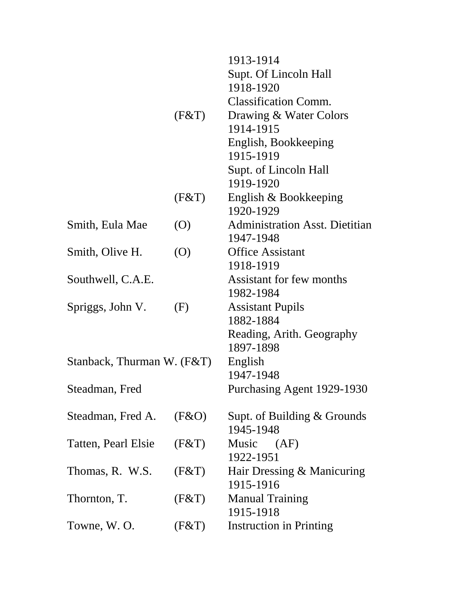|                            |            | 1913-1914                             |
|----------------------------|------------|---------------------------------------|
|                            |            | Supt. Of Lincoln Hall                 |
|                            |            | 1918-1920                             |
|                            |            | <b>Classification Comm.</b>           |
|                            | (F&T)      | Drawing & Water Colors                |
|                            |            | 1914-1915                             |
|                            |            | English, Bookkeeping                  |
|                            |            | 1915-1919                             |
|                            |            | Supt. of Lincoln Hall                 |
|                            |            | 1919-1920                             |
|                            | (F&T)      | English & Bookkeeping                 |
|                            |            | 1920-1929                             |
| Smith, Eula Mae            | $\left($ O | <b>Administration Asst. Dietitian</b> |
|                            |            | 1947-1948                             |
| Smith, Olive H.            | (O)        | <b>Office Assistant</b>               |
|                            |            | 1918-1919                             |
| Southwell, C.A.E.          |            | Assistant for few months              |
|                            |            | 1982-1984                             |
| Spriggs, John V.           | (F)        | <b>Assistant Pupils</b>               |
|                            |            | 1882-1884                             |
|                            |            | Reading, Arith. Geography             |
|                            |            | 1897-1898                             |
| Stanback, Thurman W. (F&T) |            | English                               |
|                            |            | 1947-1948                             |
| Steadman, Fred             |            | Purchasing Agent 1929-1930            |
| Steadman, Fred A.          | (F&O)      | Supt. of Building $&$ Grounds         |
|                            |            | 1945-1948                             |
| Tatten, Pearl Elsie        | (F&T)      | Music (AF)                            |
|                            |            | 1922-1951                             |
| Thomas, R. W.S.            | (F&T)      | Hair Dressing & Manicuring            |
|                            |            | 1915-1916                             |
| Thornton, T.               | (F&T)      | <b>Manual Training</b>                |
|                            |            | 1915-1918                             |
| Towne, W.O.                | (F&T)      | <b>Instruction in Printing</b>        |
|                            |            |                                       |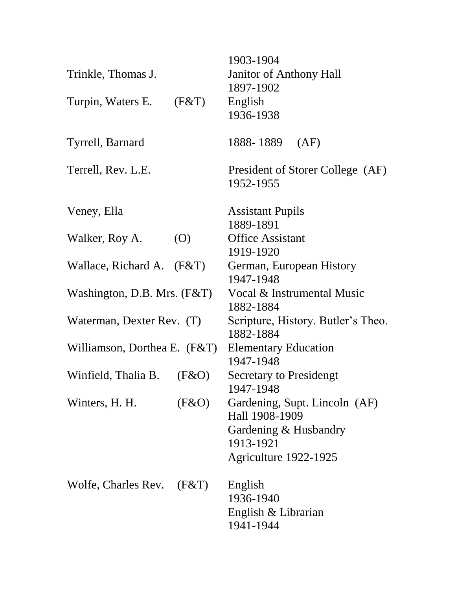| Trinkle, Thomas J.           |                   | 1903-1904<br><b>Janitor of Anthony Hall</b>     |
|------------------------------|-------------------|-------------------------------------------------|
|                              |                   | 1897-1902                                       |
| Turpin, Waters E.            | (F&T)             | English                                         |
|                              |                   | 1936-1938                                       |
| Tyrrell, Barnard             |                   | 1888-1889<br>(AF)                               |
| Terrell, Rev. L.E.           |                   | President of Storer College (AF)                |
|                              |                   | 1952-1955                                       |
| Veney, Ella                  |                   | <b>Assistant Pupils</b>                         |
|                              |                   | 1889-1891                                       |
| Walker, Roy A.               | $\left( 0\right)$ | <b>Office Assistant</b>                         |
|                              |                   | 1919-1920                                       |
| Wallace, Richard A. $(F&T)$  |                   | German, European History<br>1947-1948           |
| Washington, D.B. Mrs. (F&T)  |                   | Vocal & Instrumental Music                      |
|                              |                   | 1882-1884                                       |
| Waterman, Dexter Rev. (T)    |                   | Scripture, History. Butler's Theo.<br>1882-1884 |
| Williamson, Dorthea E. (F&T) |                   | <b>Elementary Education</b><br>1947-1948        |
| Winfield, Thalia B.          | (F&O)             | <b>Secretary to Presidengt</b><br>1947-1948     |
| Winters, H. H.               | (F & O)           | Gardening, Supt. Lincoln (AF)<br>Hall 1908-1909 |
|                              |                   | Gardening & Husbandry                           |
|                              |                   | 1913-1921                                       |
|                              |                   | Agriculture 1922-1925                           |
| Wolfe, Charles Rev.          | (F&T)             | English                                         |
|                              |                   | 1936-1940                                       |
|                              |                   | English & Librarian                             |
|                              |                   | 1941-1944                                       |